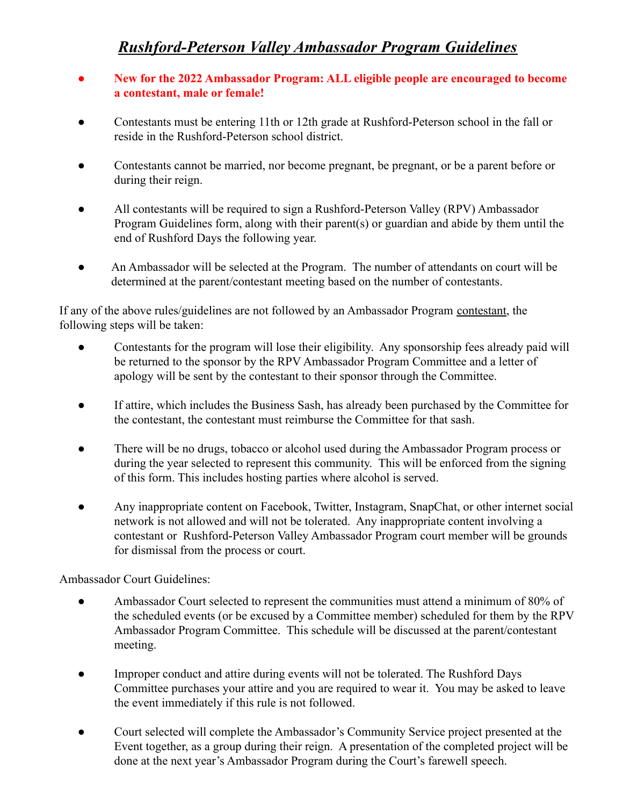## *Rushford-Peterson Valley Ambassador Program Guidelines*

- **● New for the 2022 Ambassador Program: ALL eligible people are encouraged to become a contestant, male or female!**
- Contestants must be entering 11th or 12th grade at Rushford-Peterson school in the fall or reside in the Rushford-Peterson school district.
- Contestants cannot be married, nor become pregnant, be pregnant, or be a parent before or during their reign.
- All contestants will be required to sign a Rushford-Peterson Valley (RPV) Ambassador Program Guidelines form, along with their parent(s) or guardian and abide by them until the end of Rushford Days the following year.
- An Ambassador will be selected at the Program. The number of attendants on court will be determined at the parent/contestant meeting based on the number of contestants.

If any of the above rules/guidelines are not followed by an Ambassador Program contestant, the following steps will be taken:

- Contestants for the program will lose their eligibility. Any sponsorship fees already paid will be returned to the sponsor by the RPV Ambassador Program Committee and a letter of apology will be sent by the contestant to their sponsor through the Committee.
- If attire, which includes the Business Sash, has already been purchased by the Committee for the contestant, the contestant must reimburse the Committee for that sash.
- There will be no drugs, tobacco or alcohol used during the Ambassador Program process or during the year selected to represent this community. This will be enforced from the signing of this form. This includes hosting parties where alcohol is served.
- Any inappropriate content on Facebook, Twitter, Instagram, SnapChat, or other internet social network is not allowed and will not be tolerated. Any inappropriate content involving a contestant or Rushford-Peterson Valley Ambassador Program court member will be grounds for dismissal from the process or court.

## Ambassador Court Guidelines:

- Ambassador Court selected to represent the communities must attend a minimum of 80% of the scheduled events (or be excused by a Committee member) scheduled for them by the RPV Ambassador Program Committee. This schedule will be discussed at the parent/contestant meeting.
- Improper conduct and attire during events will not be tolerated. The Rushford Days Committee purchases your attire and you are required to wear it. You may be asked to leave the event immediately if this rule is not followed.
- Court selected will complete the Ambassador's Community Service project presented at the Event together, as a group during their reign. A presentation of the completed project will be done at the next year's Ambassador Program during the Court's farewell speech.